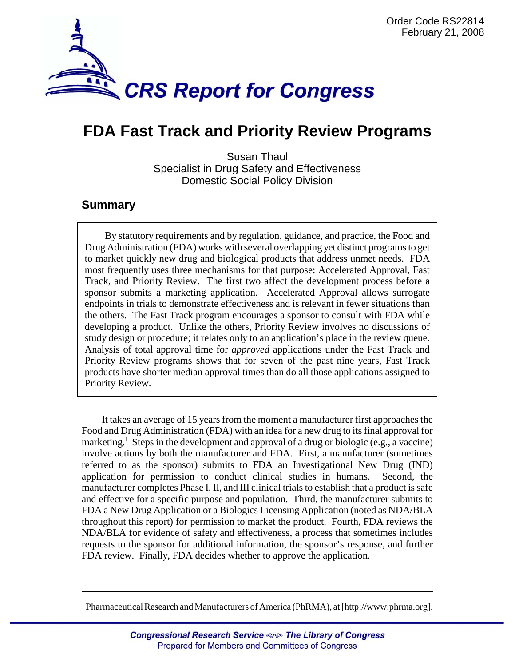

# **FDA Fast Track and Priority Review Programs**

Susan Thaul Specialist in Drug Safety and Effectiveness Domestic Social Policy Division

## **Summary**

By statutory requirements and by regulation, guidance, and practice, the Food and Drug Administration (FDA) works with several overlapping yet distinct programs to get to market quickly new drug and biological products that address unmet needs. FDA most frequently uses three mechanisms for that purpose: Accelerated Approval, Fast Track, and Priority Review. The first two affect the development process before a sponsor submits a marketing application. Accelerated Approval allows surrogate endpoints in trials to demonstrate effectiveness and is relevant in fewer situations than the others. The Fast Track program encourages a sponsor to consult with FDA while developing a product. Unlike the others, Priority Review involves no discussions of study design or procedure; it relates only to an application's place in the review queue. Analysis of total approval time for *approved* applications under the Fast Track and Priority Review programs shows that for seven of the past nine years, Fast Track products have shorter median approval times than do all those applications assigned to Priority Review.

It takes an average of 15 years from the moment a manufacturer first approaches the Food and Drug Administration (FDA) with an idea for a new drug to its final approval for marketing.<sup>1</sup> Steps in the development and approval of a drug or biologic (e.g., a vaccine) involve actions by both the manufacturer and FDA. First, a manufacturer (sometimes referred to as the sponsor) submits to FDA an Investigational New Drug (IND) application for permission to conduct clinical studies in humans. Second, the manufacturer completes Phase I, II, and III clinical trials to establish that a product is safe and effective for a specific purpose and population. Third, the manufacturer submits to FDA a New Drug Application or a Biologics Licensing Application (noted as NDA/BLA throughout this report) for permission to market the product. Fourth, FDA reviews the NDA/BLA for evidence of safety and effectiveness, a process that sometimes includes requests to the sponsor for additional information, the sponsor's response, and further FDA review. Finally, FDA decides whether to approve the application.

<sup>&</sup>lt;sup>1</sup> Pharmaceutical Research and Manufacturers of America (PhRMA), at [http://www.phrma.org].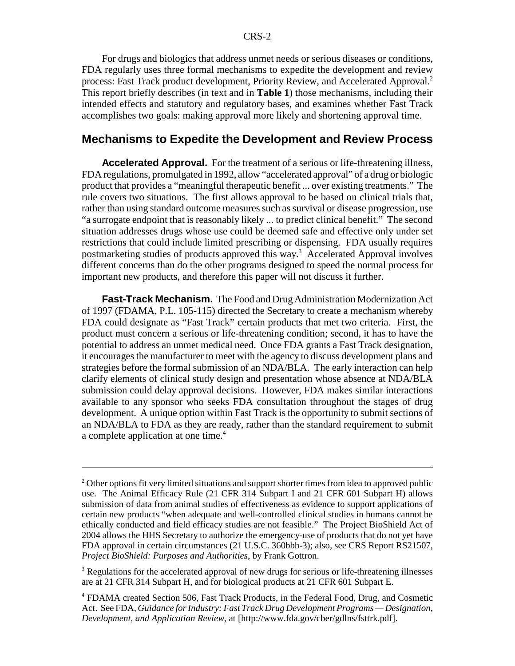For drugs and biologics that address unmet needs or serious diseases or conditions, FDA regularly uses three formal mechanisms to expedite the development and review process: Fast Track product development, Priority Review, and Accelerated Approval.2 This report briefly describes (in text and in **Table 1**) those mechanisms, including their intended effects and statutory and regulatory bases, and examines whether Fast Track accomplishes two goals: making approval more likely and shortening approval time.

#### **Mechanisms to Expedite the Development and Review Process**

**Accelerated Approval.** For the treatment of a serious or life-threatening illness, FDA regulations, promulgated in 1992, allow "accelerated approval" of a drug or biologic product that provides a "meaningful therapeutic benefit ... over existing treatments." The rule covers two situations. The first allows approval to be based on clinical trials that, rather than using standard outcome measures such as survival or disease progression, use "a surrogate endpoint that is reasonably likely ... to predict clinical benefit." The second situation addresses drugs whose use could be deemed safe and effective only under set restrictions that could include limited prescribing or dispensing. FDA usually requires postmarketing studies of products approved this way.<sup>3</sup> Accelerated Approval involves different concerns than do the other programs designed to speed the normal process for important new products, and therefore this paper will not discuss it further.

**Fast-Track Mechanism.** The Food and Drug Administration Modernization Act of 1997 (FDAMA, P.L. 105-115) directed the Secretary to create a mechanism whereby FDA could designate as "Fast Track" certain products that met two criteria. First, the product must concern a serious or life-threatening condition; second, it has to have the potential to address an unmet medical need. Once FDA grants a Fast Track designation, it encourages the manufacturer to meet with the agency to discuss development plans and strategies before the formal submission of an NDA/BLA. The early interaction can help clarify elements of clinical study design and presentation whose absence at NDA/BLA submission could delay approval decisions. However, FDA makes similar interactions available to any sponsor who seeks FDA consultation throughout the stages of drug development. A unique option within Fast Track is the opportunity to submit sections of an NDA/BLA to FDA as they are ready, rather than the standard requirement to submit a complete application at one time.<sup>4</sup>

 $2^2$  Other options fit very limited situations and support shorter times from idea to approved public use. The Animal Efficacy Rule (21 CFR 314 Subpart I and 21 CFR 601 Subpart H) allows submission of data from animal studies of effectiveness as evidence to support applications of certain new products "when adequate and well-controlled clinical studies in humans cannot be ethically conducted and field efficacy studies are not feasible." The Project BioShield Act of 2004 allows the HHS Secretary to authorize the emergency-use of products that do not yet have FDA approval in certain circumstances (21 U.S.C. 360bbb-3); also, see CRS Report RS21507, *Project BioShield: Purposes and Authorities*, by Frank Gottron.

<sup>&</sup>lt;sup>3</sup> Regulations for the accelerated approval of new drugs for serious or life-threatening illnesses are at 21 CFR 314 Subpart H, and for biological products at 21 CFR 601 Subpart E.

<sup>&</sup>lt;sup>4</sup> FDAMA created Section 506, Fast Track Products, in the Federal Food, Drug, and Cosmetic Act. See FDA, *Guidance for Industry: Fast Track Drug Development Programs — Designation, Development, and Application Review*, at [http://www.fda.gov/cber/gdlns/fsttrk.pdf].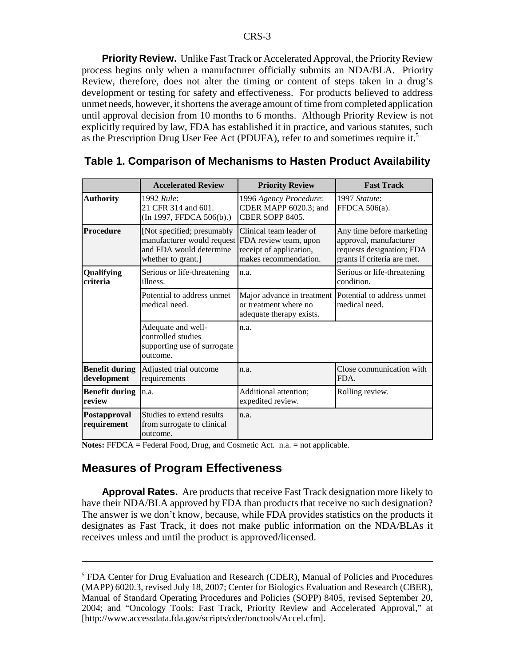**Priority Review.** Unlike Fast Track or Accelerated Approval, the Priority Review process begins only when a manufacturer officially submits an NDA/BLA. Priority Review, therefore, does not alter the timing or content of steps taken in a drug's development or testing for safety and effectiveness. For products believed to address unmet needs, however, it shortens the average amount of time from completed application until approval decision from 10 months to 6 months. Although Priority Review is not explicitly required by law, FDA has established it in practice, and various statutes, such as the Prescription Drug User Fee Act (PDUFA), refer to and sometimes require it.<sup>5</sup>

|                                      | <b>Accelerated Review</b>                                                                                 | <b>Priority Review</b>                                                                               | <b>Fast Track</b>                                                                                               |  |  |
|--------------------------------------|-----------------------------------------------------------------------------------------------------------|------------------------------------------------------------------------------------------------------|-----------------------------------------------------------------------------------------------------------------|--|--|
| <b>Authority</b>                     | 1992 Rule:<br>21 CFR 314 and 601.<br>(In 1997, FFDCA 506(b).)                                             | 1996 Agency Procedure:<br>CDER MAPP 6020.3; and<br>CBER SOPP 8405.                                   | 1997 Statute:<br>FFDCA 506(a).                                                                                  |  |  |
| <b>Procedure</b>                     | [Not specified; presumably<br>manufacturer would request<br>and FDA would determine<br>whether to grant.] | Clinical team leader of<br>FDA review team, upon<br>receipt of application,<br>makes recommendation. | Any time before marketing<br>approval, manufacturer<br>requests designation; FDA<br>grants if criteria are met. |  |  |
| Qualifying<br>criteria               | Serious or life-threatening<br>illness.                                                                   | n.a.                                                                                                 | Serious or life-threatening<br>condition.                                                                       |  |  |
|                                      | Potential to address unmet<br>medical need.                                                               | Major advance in treatment<br>or treatment where no<br>adequate therapy exists.                      | Potential to address unmet<br>medical need.                                                                     |  |  |
|                                      | Adequate and well-<br>controlled studies<br>supporting use of surrogate<br>outcome.                       | n.a.                                                                                                 |                                                                                                                 |  |  |
| <b>Benefit during</b><br>development | Adjusted trial outcome<br>requirements                                                                    | n.a.                                                                                                 | Close communication with<br>FDA.                                                                                |  |  |
| <b>Benefit during</b><br>review      | n.a.                                                                                                      | Additional attention;<br>expedited review.                                                           | Rolling review.                                                                                                 |  |  |
| Postapproval<br>requirement          | Studies to extend results<br>from surrogate to clinical<br>outcome.                                       | n.a.                                                                                                 |                                                                                                                 |  |  |

#### **Table 1. Comparison of Mechanisms to Hasten Product Availability**

**Notes:** FFDCA = Federal Food, Drug, and Cosmetic Act. n.a. = not applicable.

### **Measures of Program Effectiveness**

**Approval Rates.** Are products that receive Fast Track designation more likely to have their NDA/BLA approved by FDA than products that receive no such designation? The answer is we don't know, because, while FDA provides statistics on the products it designates as Fast Track, it does not make public information on the NDA/BLAs it receives unless and until the product is approved/licensed.

<sup>&</sup>lt;sup>5</sup> FDA Center for Drug Evaluation and Research (CDER), Manual of Policies and Procedures (MAPP) 6020.3, revised July 18, 2007; Center for Biologics Evaluation and Research (CBER), Manual of Standard Operating Procedures and Policies (SOPP) 8405, revised September 20, 2004; and "Oncology Tools: Fast Track, Priority Review and Accelerated Approval," at [http://www.accessdata.fda.gov/scripts/cder/onctools/Accel.cfm].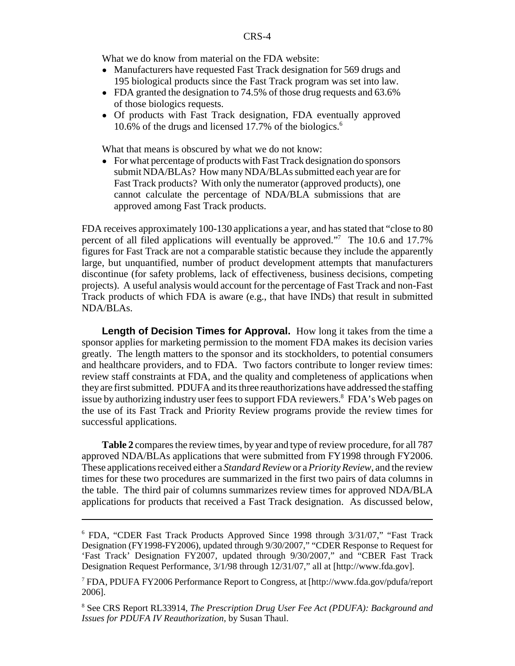What we do know from material on the FDA website:

- Manufacturers have requested Fast Track designation for 569 drugs and 195 biological products since the Fast Track program was set into law.
- FDA granted the designation to 74.5% of those drug requests and 63.6% of those biologics requests.
- ! Of products with Fast Track designation, FDA eventually approved 10.6% of the drugs and licensed 17.7% of the biologics.<sup>6</sup>

What that means is obscured by what we do not know:

• For what percentage of products with Fast Track designation do sponsors submit NDA/BLAs? How many NDA/BLAs submitted each year are for Fast Track products? With only the numerator (approved products), one cannot calculate the percentage of NDA/BLA submissions that are approved among Fast Track products.

FDA receives approximately 100-130 applications a year, and has stated that "close to 80 percent of all filed applications will eventually be approved."<sup>7</sup> The 10.6 and 17.7% figures for Fast Track are not a comparable statistic because they include the apparently large, but unquantified, number of product development attempts that manufacturers discontinue (for safety problems, lack of effectiveness, business decisions, competing projects). A useful analysis would account for the percentage of Fast Track and non-Fast Track products of which FDA is aware (e.g., that have INDs) that result in submitted NDA/BLAs.

**Length of Decision Times for Approval.** How long it takes from the time a sponsor applies for marketing permission to the moment FDA makes its decision varies greatly. The length matters to the sponsor and its stockholders, to potential consumers and healthcare providers, and to FDA. Two factors contribute to longer review times: review staff constraints at FDA, and the quality and completeness of applications when they are first submitted. PDUFA and its three reauthorizations have addressed the staffing issue by authorizing industry user fees to support FDA reviewers.<sup>8</sup> FDA's Web pages on the use of its Fast Track and Priority Review programs provide the review times for successful applications.

**Table 2** compares the review times, by year and type of review procedure, for all 787 approved NDA/BLAs applications that were submitted from FY1998 through FY2006. These applications received either a *Standard Review* or a *Priority Review*, and the review times for these two procedures are summarized in the first two pairs of data columns in the table. The third pair of columns summarizes review times for approved NDA/BLA applications for products that received a Fast Track designation. As discussed below,

<sup>&</sup>lt;sup>6</sup> FDA, "CDER Fast Track Products Approved Since 1998 through 3/31/07," "Fast Track Designation (FY1998-FY2006), updated through 9/30/2007," "CDER Response to Request for 'Fast Track' Designation FY2007, updated through 9/30/2007," and "CBER Fast Track Designation Request Performance, 3/1/98 through 12/31/07," all at [http://www.fda.gov].

<sup>7</sup> FDA, PDUFA FY2006 Performance Report to Congress, at [http://www.fda.gov/pdufa/report 2006].

<sup>8</sup> See CRS Report RL33914, *The Prescription Drug User Fee Act (PDUFA): Background and Issues for PDUFA IV Reauthorization*, by Susan Thaul.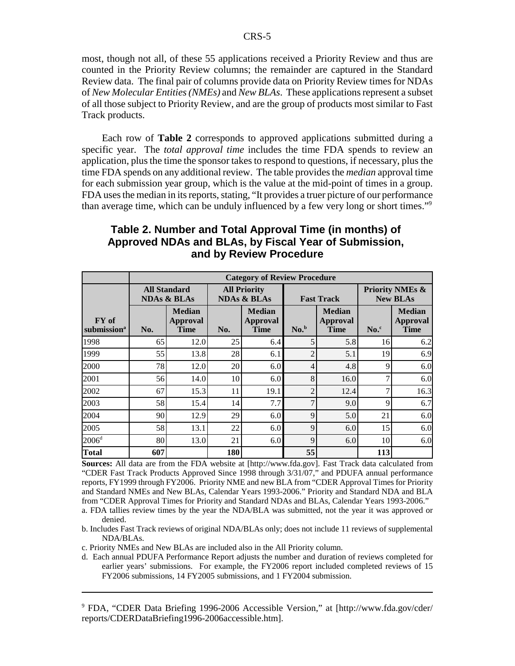most, though not all, of these 55 applications received a Priority Review and thus are counted in the Priority Review columns; the remainder are captured in the Standard Review data. The final pair of columns provide data on Priority Review times for NDAs of *New Molecular Entities (NMEs)* and *New BLAs*. These applications represent a subset of all those subject to Priority Review, and are the group of products most similar to Fast Track products.

Each row of **Table 2** corresponds to approved applications submitted during a specific year. The *total approval time* includes the time FDA spends to review an application, plus the time the sponsor takes to respond to questions, if necessary, plus the time FDA spends on any additional review. The table provides the *median* approval time for each submission year group, which is the value at the mid-point of times in a group. FDA uses the median in its reports, stating, "It provides a truer picture of our performance than average time, which can be unduly influenced by a few very long or short times."9

|                                  | <b>Category of Review Procedure</b>           |                                          |                                               |                                                 |                   |                                          |                                               |                                          |  |  |
|----------------------------------|-----------------------------------------------|------------------------------------------|-----------------------------------------------|-------------------------------------------------|-------------------|------------------------------------------|-----------------------------------------------|------------------------------------------|--|--|
|                                  | <b>All Standard</b><br><b>NDAs &amp; BLAs</b> |                                          | <b>All Priority</b><br><b>NDAs &amp; BLAs</b> |                                                 | <b>Fast Track</b> |                                          | <b>Priority NMEs &amp;</b><br><b>New BLAs</b> |                                          |  |  |
| FY of<br>submission <sup>a</sup> | No.                                           | <b>Median</b><br>Approval<br><b>Time</b> | No.                                           | <b>Median</b><br><b>Approval</b><br><b>Time</b> | No. <sup>b</sup>  | <b>Median</b><br>Approval<br><b>Time</b> | $No.^c$                                       | <b>Median</b><br>Approval<br><b>Time</b> |  |  |
| 1998                             | 65                                            | 12.0                                     | 25                                            | 6.4                                             |                   | 5.8                                      | 16                                            | 6.2                                      |  |  |
| 1999                             | 55                                            | 13.8                                     | 28                                            | 6.1                                             | 2                 | 5.1                                      | 19                                            | 6.9                                      |  |  |
| 2000                             | 78                                            | 12.0                                     | 20                                            | 6.0                                             | 4                 | 4.8                                      | 9                                             | 6.0                                      |  |  |
| 2001                             | 56                                            | 14.0                                     | 10                                            | 6.0                                             | 8                 | 16.0                                     |                                               | 6.0                                      |  |  |
| 2002                             | 67                                            | 15.3                                     | 11                                            | 19.1                                            | $\overline{2}$    | 12.4                                     | 7                                             | 16.3                                     |  |  |
| 2003                             | 58                                            | 15.4                                     | 14                                            | 7.7                                             | ⇁                 | 9.0                                      | 9                                             | 6.7                                      |  |  |
| 2004                             | 90                                            | 12.9                                     | 29                                            | 6.0                                             | 9                 | 5.0                                      | 21                                            | 6.0                                      |  |  |
| 2005                             | 58                                            | 13.1                                     | 22                                            | 6.0                                             | 9                 | 6.0                                      | 15                                            | 6.0                                      |  |  |
| 2006 <sup>d</sup>                | 80                                            | 13.0                                     | 21                                            | 6.0                                             | 9                 | 6.0                                      | 10                                            | 6.0                                      |  |  |
| Total                            | 607                                           |                                          | 180                                           |                                                 | 55                |                                          | 113                                           |                                          |  |  |

#### **Table 2. Number and Total Approval Time (in months) of Approved NDAs and BLAs, by Fiscal Year of Submission, and by Review Procedure**

**Sources:** All data are from the FDA website at [http://www.fda.gov]. Fast Track data calculated from "CDER Fast Track Products Approved Since 1998 through 3/31/07," and PDUFA annual performance reports, FY1999 through FY2006. Priority NME and new BLA from "CDER Approval Times for Priority and Standard NMEs and New BLAs, Calendar Years 1993-2006." Priority and Standard NDA and BLA from "CDER Approval Times for Priority and Standard NDAs and BLAs, Calendar Years 1993-2006."

a. FDA tallies review times by the year the NDA/BLA was submitted, not the year it was approved or denied.

b. Includes Fast Track reviews of original NDA/BLAs only; does not include 11 reviews of supplemental NDA/BLAs.

c. Priority NMEs and New BLAs are included also in the All Priority column.

d. Each annual PDUFA Performance Report adjusts the number and duration of reviews completed for earlier years' submissions. For example, the FY2006 report included completed reviews of 15 FY2006 submissions, 14 FY2005 submissions, and 1 FY2004 submission.

9 FDA, "CDER Data Briefing 1996-2006 Accessible Version," at [http://www.fda.gov/cder/ reports/CDERDataBriefing1996-2006accessible.htm].